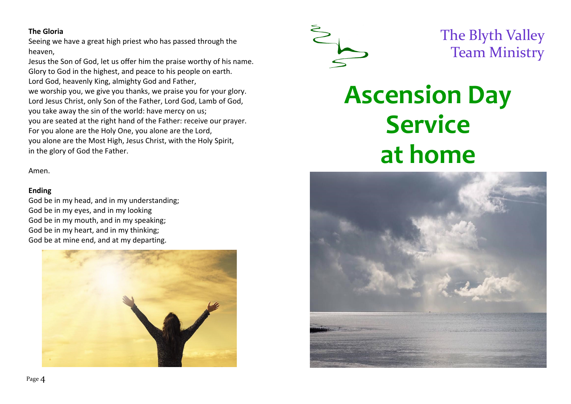# **The Gloria**

Seeing we have a great high priest who has passed through the heaven,

Jesus the Son of God, let us offer him the praise worthy of his name. Glory to God in the highest, and peace to his people on earth. Lord God, heavenly King, almighty God and Father, we worship you, we give you thanks, we praise you for your glory. Lord Jesus Christ, only Son of the Father, Lord God, Lamb of God, you take away the sin of the world: have mercy on us; you are seated at the right hand of the Father: receive our prayer. For you alone are the Holy One, you alone are the Lord, you alone are the Most High, Jesus Christ, with the Holy Spirit, in the glory of God the Father.

Amen.

#### **Ending**

God be in my head, and in my understanding; God be in my eyes, and in my looking God be in my mouth, and in my speaking; God be in my heart, and in my thinking; God be at mine end, and at my departing.





The Blyth Valley Team Ministry

# **Ascension Day Service at home**